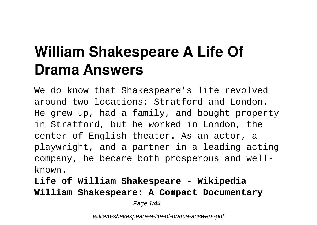# **William Shakespeare A Life Of Drama Answers**

We do know that Shakespeare's life revolved around two locations: Stratford and London. He grew up, had a family, and bought property in Stratford, but he worked in London, the center of English theater. As an actor, a playwright, and a partner in a leading acting company, he became both prosperous and wellknown.

**Life of William Shakespeare - Wikipedia William Shakespeare: A Compact Documentary** Page 1/44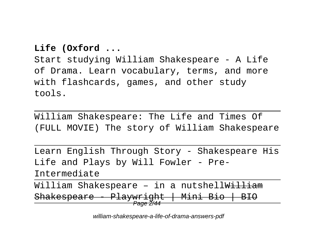#### **Life (Oxford ...**

Start studying William Shakespeare - A Life of Drama. Learn vocabulary, terms, and more with flashcards, games, and other study tools.

William Shakespeare: The Life and Times Of (FULL MOVIE) The story of William Shakespeare

Learn English Through Story - Shakespeare His Life and Plays by Will Fowler - Pre-Intermediate

William Shakespeare - in a nutshell<del>William</del> Shakespeare - Playwright | Mini Bio | BIO <del>Page 2/44</del>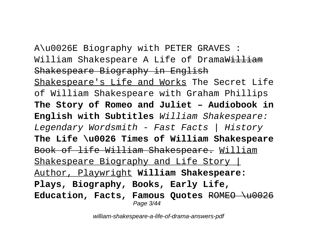# A\u0026E Biography with PETER GRAVES : William Shakespeare A Life of DramaWilliam

Shakespeare Biography in English Shakespeare's Life and Works The Secret Life of William Shakespeare with Graham Phillips **The Story of Romeo and Juliet – Audiobook in English with Subtitles** William Shakespeare: Legendary Wordsmith - Fast Facts | History **The Life \u0026 Times of William Shakespeare** Book of life William Shakespeare. William Shakespeare Biography and Life Story | Author, Playwright **William Shakespeare: Plays, Biography, Books, Early Life, Education, Facts, Famous Quotes** ROMEO \u0026 Page 3/44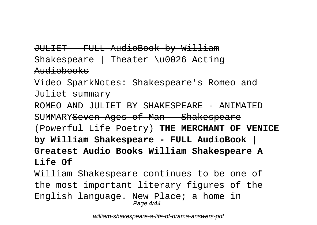#### JULIET - FULL AudioBook by William Shakespeare | Theater \u0026 Acting Audiobooks

Video SparkNotes: Shakespeare's Romeo and Juliet summary

ROMEO AND JULIET BY SHAKESPEARE - ANIMATED SUMMARYSeven Ages of Man - Shakespeare (Powerful Life Poetry) **THE MERCHANT OF VENICE by William Shakespeare - FULL AudioBook | Greatest Audio Books William Shakespeare A Life Of** William Shakespeare continues to be one of the most important literary figures of the

English language. New Place; a home in Page 4/44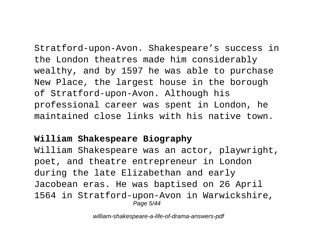Stratford-upon-Avon. Shakespeare's success in the London theatres made him considerably wealthy, and by 1597 he was able to purchase New Place, the largest house in the borough of Stratford-upon-Avon. Although his professional career was spent in London, he maintained close links with his native town.

#### **William Shakespeare Biography**

William Shakespeare was an actor, playwright, poet, and theatre entrepreneur in London during the late Elizabethan and early Jacobean eras. He was baptised on 26 April 1564 in Stratford-upon-Avon in Warwickshire, Page 5/44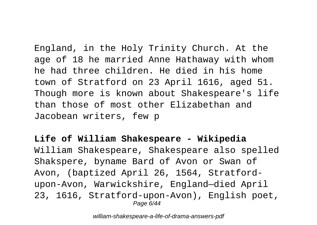England, in the Holy Trinity Church. At the age of 18 he married Anne Hathaway with whom he had three children. He died in his home town of Stratford on 23 April 1616, aged 51. Though more is known about Shakespeare's life than those of most other Elizabethan and Jacobean writers, few p

**Life of William Shakespeare - Wikipedia** William Shakespeare, Shakespeare also spelled Shakspere, byname Bard of Avon or Swan of Avon, (baptized April 26, 1564, Stratfordupon-Avon, Warwickshire, England—died April 23, 1616, Stratford-upon-Avon), English poet, Page 6/44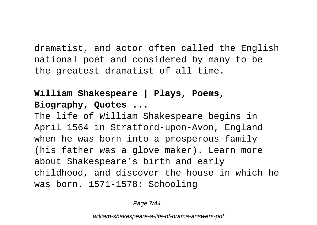dramatist, and actor often called the English national poet and considered by many to be the greatest dramatist of all time.

#### **William Shakespeare | Plays, Poems, Biography, Quotes ...**

The life of William Shakespeare begins in April 1564 in Stratford-upon-Avon, England when he was born into a prosperous family (his father was a glove maker). Learn more about Shakespeare's birth and early childhood, and discover the house in which he was born. 1571-1578: Schooling

Page 7/44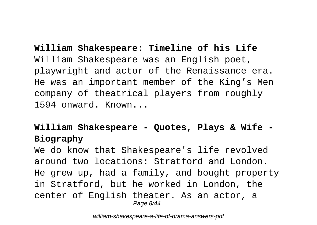**William Shakespeare: Timeline of his Life** William Shakespeare was an English poet, playwright and actor of the Renaissance era. He was an important member of the King's Men company of theatrical players from roughly 1594 onward. Known...

#### **William Shakespeare - Quotes, Plays & Wife - Biography**

We do know that Shakespeare's life revolved around two locations: Stratford and London. He grew up, had a family, and bought property in Stratford, but he worked in London, the center of English theater. As an actor, a Page 8/44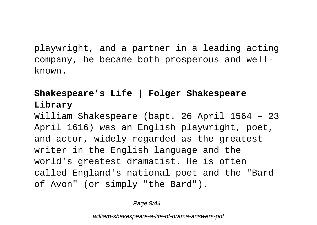playwright, and a partner in a leading acting company, he became both prosperous and wellknown.

### **Shakespeare's Life | Folger Shakespeare Library**

William Shakespeare (bapt. 26 April 1564 – 23 April 1616) was an English playwright, poet, and actor, widely regarded as the greatest writer in the English language and the world's greatest dramatist. He is often called England's national poet and the "Bard of Avon" (or simply "the Bard").

Page 9/44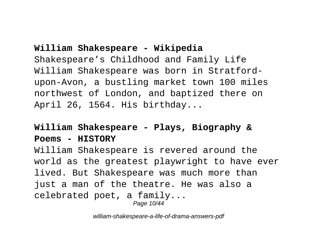#### **William Shakespeare - Wikipedia**

Shakespeare's Childhood and Family Life William Shakespeare was born in Stratfordupon-Avon, a bustling market town 100 miles northwest of London, and baptized there on April 26, 1564. His birthday...

#### **William Shakespeare - Plays, Biography & Poems - HISTORY**

William Shakespeare is revered around the world as the greatest playwright to have ever lived. But Shakespeare was much more than just a man of the theatre. He was also a celebrated poet, a family... Page 10/44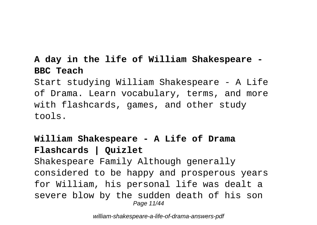#### **A day in the life of William Shakespeare - BBC Teach**

Start studying William Shakespeare - A Life of Drama. Learn vocabulary, terms, and more with flashcards, games, and other study tools.

## **William Shakespeare - A Life of Drama Flashcards | Quizlet**

Shakespeare Family Although generally considered to be happy and prosperous years for William, his personal life was dealt a severe blow by the sudden death of his son Page 11/44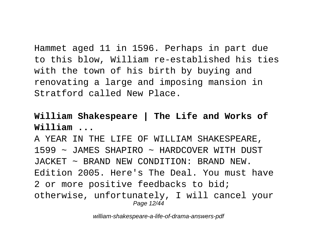Hammet aged 11 in 1596. Perhaps in part due to this blow, William re-established his ties with the town of his birth by buying and renovating a large and imposing mansion in Stratford called New Place.

#### **William Shakespeare | The Life and Works of William ...**

A YEAR IN THE LIFE OF WILLIAM SHAKESPEARE, 1599 ~ JAMES SHAPIRO ~ HARDCOVER WITH DUST JACKET ~ BRAND NEW CONDITION: BRAND NEW. Edition 2005. Here's The Deal. You must have 2 or more positive feedbacks to bid; otherwise, unfortunately, I will cancel your Page 12/44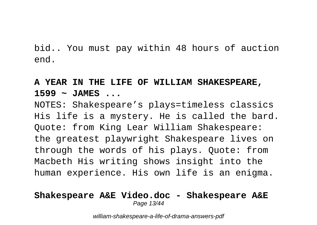bid.. You must pay within 48 hours of auction end.

#### **A YEAR IN THE LIFE OF WILLIAM SHAKESPEARE, 1599 ~ JAMES ...**

NOTES: Shakespeare's plays=timeless classics His life is a mystery. He is called the bard. Quote: from King Lear William Shakespeare: the greatest playwright Shakespeare lives on through the words of his plays. Quote: from Macbeth His writing shows insight into the human experience. His own life is an enigma.

#### **Shakespeare A&E Video.doc - Shakespeare A&E** Page 13/44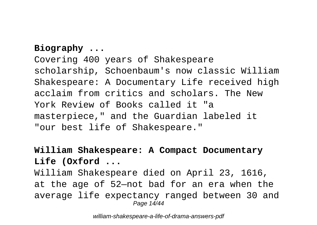#### **Biography ...**

Covering 400 years of Shakespeare scholarship, Schoenbaum's now classic William Shakespeare: A Documentary Life received high acclaim from critics and scholars. The New York Review of Books called it "a masterpiece," and the Guardian labeled it "our best life of Shakespeare."

#### **William Shakespeare: A Compact Documentary Life (Oxford ...**

William Shakespeare died on April 23, 1616, at the age of 52—not bad for an era when the average life expectancy ranged between 30 and Page 14/44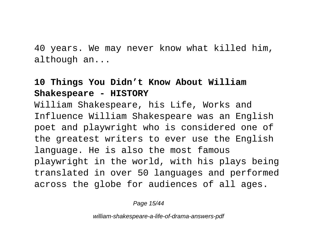40 years. We may never know what killed him, although an...

#### **10 Things You Didn't Know About William Shakespeare - HISTORY**

William Shakespeare, his Life, Works and Influence William Shakespeare was an English poet and playwright who is considered one of the greatest writers to ever use the English language. He is also the most famous playwright in the world, with his plays being translated in over 50 languages and performed across the globe for audiences of all ages.

Page 15/44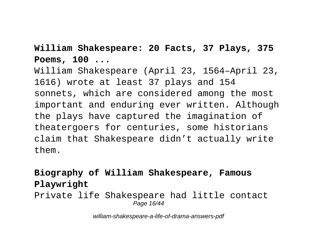#### **William Shakespeare: 20 Facts, 37 Plays, 375 Poems, 100 ...**

William Shakespeare (April 23, 1564–April 23, 1616) wrote at least 37 plays and 154 sonnets, which are considered among the most important and enduring ever written. Although the plays have captured the imagination of theatergoers for centuries, some historians claim that Shakespeare didn't actually write them.

## **Biography of William Shakespeare, Famous Playwright**

Private life Shakespeare had little contact Page 16/44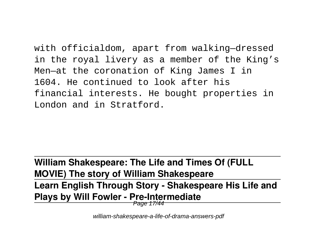with officialdom, apart from walking—dressed in the royal livery as a member of the King's Men—at the coronation of King James I in 1604. He continued to look after his financial interests. He bought properties in London and in Stratford.

## **William Shakespeare: The Life and Times Of (FULL MOVIE) The story of William Shakespeare**

## **Learn English Through Story - Shakespeare His Life and Plays by Will Fowler - Pre-Intermediate**

Page 17/44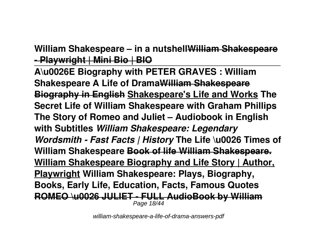## **William Shakespeare – in a nutshellWilliam Shakespeare - Playwright | Mini Bio | BIO**

**A\u0026E Biography with PETER GRAVES : William Shakespeare A Life of DramaWilliam Shakespeare Biography in English Shakespeare's Life and Works The Secret Life of William Shakespeare with Graham Phillips The Story of Romeo and Juliet – Audiobook in English with Subtitles** *William Shakespeare: Legendary Wordsmith - Fast Facts | History* **The Life \u0026 Times of William Shakespeare Book of life William Shakespeare. William Shakespeare Biography and Life Story | Author, Playwright William Shakespeare: Plays, Biography, Books, Early Life, Education, Facts, Famous Quotes ROMEO \u0026 JULIET - FULL AudioBook by William** Page 18/44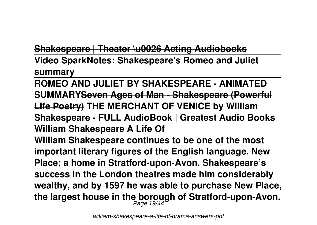#### **Shakespeare | Theater \u0026 Acting Audiobooks**

**Video SparkNotes: Shakespeare's Romeo and Juliet summary**

**ROMEO AND JULIET BY SHAKESPEARE - ANIMATED SUMMARYSeven Ages of Man - Shakespeare (Powerful Life Poetry) THE MERCHANT OF VENICE by William Shakespeare - FULL AudioBook | Greatest Audio Books William Shakespeare A Life Of William Shakespeare continues to be one of the most important literary figures of the English language. New Place; a home in Stratford-upon-Avon. Shakespeare's success in the London theatres made him considerably wealthy, and by 1597 he was able to purchase New Place, the largest house in the borough of Stratford-upon-Avon.** Page 19/44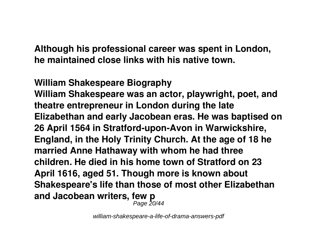**Although his professional career was spent in London, he maintained close links with his native town.**

**William Shakespeare Biography William Shakespeare was an actor, playwright, poet, and theatre entrepreneur in London during the late Elizabethan and early Jacobean eras. He was baptised on 26 April 1564 in Stratford-upon-Avon in Warwickshire, England, in the Holy Trinity Church. At the age of 18 he married Anne Hathaway with whom he had three children. He died in his home town of Stratford on 23 April 1616, aged 51. Though more is known about Shakespeare's life than those of most other Elizabethan and Jacobean writers, few p** Page 20/44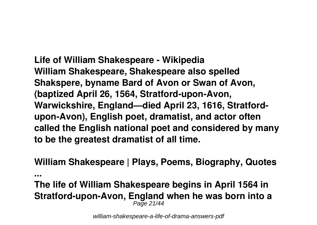**Life of William Shakespeare - Wikipedia William Shakespeare, Shakespeare also spelled Shakspere, byname Bard of Avon or Swan of Avon, (baptized April 26, 1564, Stratford-upon-Avon, Warwickshire, England—died April 23, 1616, Stratfordupon-Avon), English poet, dramatist, and actor often called the English national poet and considered by many to be the greatest dramatist of all time.**

**William Shakespeare | Plays, Poems, Biography, Quotes**

**...**

**The life of William Shakespeare begins in April 1564 in Stratford-upon-Avon, England when he was born into a** Page 21/44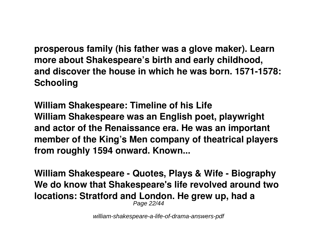**prosperous family (his father was a glove maker). Learn more about Shakespeare's birth and early childhood, and discover the house in which he was born. 1571-1578: Schooling**

**William Shakespeare: Timeline of his Life William Shakespeare was an English poet, playwright and actor of the Renaissance era. He was an important member of the King's Men company of theatrical players from roughly 1594 onward. Known...**

**William Shakespeare - Quotes, Plays & Wife - Biography We do know that Shakespeare's life revolved around two locations: Stratford and London. He grew up, had a** Page 22/44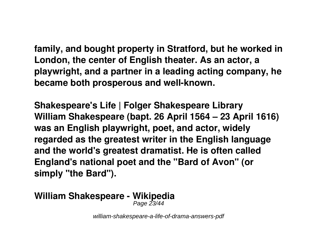**family, and bought property in Stratford, but he worked in London, the center of English theater. As an actor, a playwright, and a partner in a leading acting company, he became both prosperous and well-known.**

**Shakespeare's Life | Folger Shakespeare Library William Shakespeare (bapt. 26 April 1564 – 23 April 1616) was an English playwright, poet, and actor, widely regarded as the greatest writer in the English language and the world's greatest dramatist. He is often called England's national poet and the "Bard of Avon" (or simply "the Bard").**

## **William Shakespeare - Wikipedia**

Page 23/44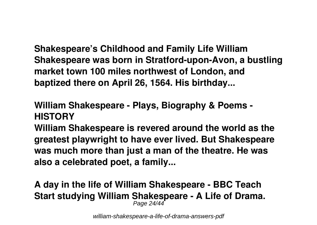**Shakespeare's Childhood and Family Life William Shakespeare was born in Stratford-upon-Avon, a bustling market town 100 miles northwest of London, and baptized there on April 26, 1564. His birthday...**

## **William Shakespeare - Plays, Biography & Poems - HISTORY**

**William Shakespeare is revered around the world as the greatest playwright to have ever lived. But Shakespeare was much more than just a man of the theatre. He was also a celebrated poet, a family...**

#### **A day in the life of William Shakespeare - BBC Teach Start studying William Shakespeare - A Life of Drama.** Page 24/44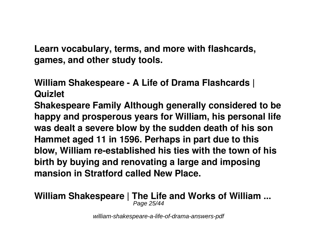**Learn vocabulary, terms, and more with flashcards, games, and other study tools.**

**William Shakespeare - A Life of Drama Flashcards | Quizlet**

**Shakespeare Family Although generally considered to be happy and prosperous years for William, his personal life was dealt a severe blow by the sudden death of his son Hammet aged 11 in 1596. Perhaps in part due to this blow, William re-established his ties with the town of his birth by buying and renovating a large and imposing mansion in Stratford called New Place.**

#### **William Shakespeare | The Life and Works of William ...** Page 25/44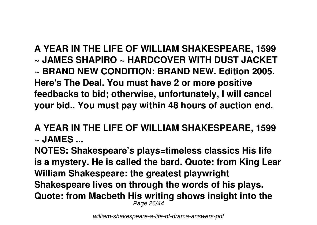**A YEAR IN THE LIFE OF WILLIAM SHAKESPEARE, 1599 ~ JAMES SHAPIRO ~ HARDCOVER WITH DUST JACKET ~ BRAND NEW CONDITION: BRAND NEW. Edition 2005. Here's The Deal. You must have 2 or more positive feedbacks to bid; otherwise, unfortunately, I will cancel your bid.. You must pay within 48 hours of auction end.**

**A YEAR IN THE LIFE OF WILLIAM SHAKESPEARE, 1599 ~ JAMES ...**

**NOTES: Shakespeare's plays=timeless classics His life is a mystery. He is called the bard. Quote: from King Lear William Shakespeare: the greatest playwright Shakespeare lives on through the words of his plays. Quote: from Macbeth His writing shows insight into the** Page 26/44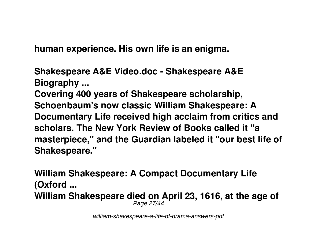**human experience. His own life is an enigma.**

**Shakespeare A&E Video.doc - Shakespeare A&E Biography ... Covering 400 years of Shakespeare scholarship, Schoenbaum's now classic William Shakespeare: A Documentary Life received high acclaim from critics and scholars. The New York Review of Books called it "a masterpiece," and the Guardian labeled it "our best life of Shakespeare."**

**William Shakespeare: A Compact Documentary Life (Oxford ... William Shakespeare died on April 23, 1616, at the age of** Page 27/44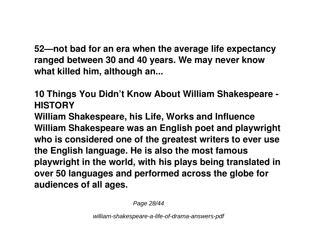**52—not bad for an era when the average life expectancy ranged between 30 and 40 years. We may never know what killed him, although an...**

**10 Things You Didn't Know About William Shakespeare - HISTORY**

**William Shakespeare, his Life, Works and Influence William Shakespeare was an English poet and playwright who is considered one of the greatest writers to ever use the English language. He is also the most famous playwright in the world, with his plays being translated in over 50 languages and performed across the globe for audiences of all ages.**

Page 28/44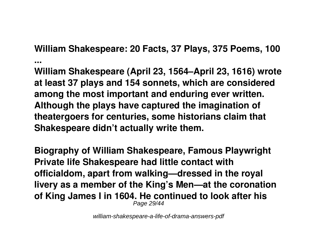**William Shakespeare: 20 Facts, 37 Plays, 375 Poems, 100**

**... William Shakespeare (April 23, 1564–April 23, 1616) wrote at least 37 plays and 154 sonnets, which are considered among the most important and enduring ever written. Although the plays have captured the imagination of theatergoers for centuries, some historians claim that Shakespeare didn't actually write them.**

**Biography of William Shakespeare, Famous Playwright Private life Shakespeare had little contact with officialdom, apart from walking—dressed in the royal livery as a member of the King's Men—at the coronation of King James I in 1604. He continued to look after his** Page 29/44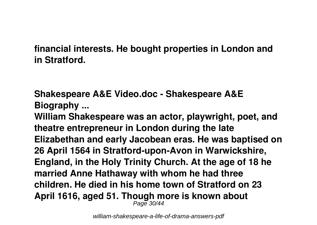## **financial interests. He bought properties in London and in Stratford.**

**Shakespeare A&E Video.doc - Shakespeare A&E Biography ...**

**William Shakespeare was an actor, playwright, poet, and theatre entrepreneur in London during the late Elizabethan and early Jacobean eras. He was baptised on 26 April 1564 in Stratford-upon-Avon in Warwickshire, England, in the Holy Trinity Church. At the age of 18 he married Anne Hathaway with whom he had three children. He died in his home town of Stratford on 23 April 1616, aged 51. Though more is known about** Page 30/44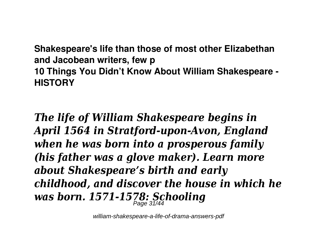**Shakespeare's life than those of most other Elizabethan and Jacobean writers, few p 10 Things You Didn't Know About William Shakespeare - HISTORY**

*The life of William Shakespeare begins in April 1564 in Stratford-upon-Avon, England when he was born into a prosperous family (his father was a glove maker). Learn more about Shakespeare's birth and early childhood, and discover the house in which he was born. 1571-1578: Schooling* Page 31/44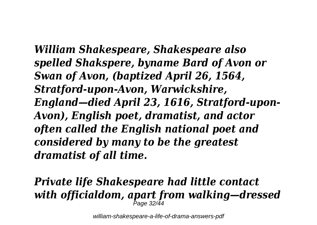*William Shakespeare, Shakespeare also spelled Shakspere, byname Bard of Avon or Swan of Avon, (baptized April 26, 1564, Stratford-upon-Avon, Warwickshire, England—died April 23, 1616, Stratford-upon-Avon), English poet, dramatist, and actor often called the English national poet and considered by many to be the greatest dramatist of all time.*

# *Private life Shakespeare had little contact with officialdom, apart from walking—dressed* Page 32/44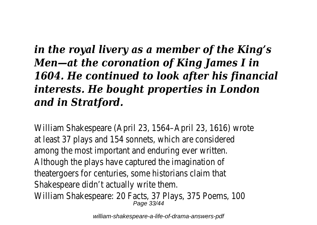# *in the royal livery as a member of the King's Men—at the coronation of King James I in 1604. He continued to look after his financial interests. He bought properties in London and in Stratford.*

William Shakespeare (April 23, 1564– at least 37 plays and 154 sonnets,  $\sqrt{ }$ among the most important and ene Although the plays have captured theatergoers for centuries, some h Shakespeare didn't actual William Shakespeare: 20 Facts, 37 P<br>Page 33/44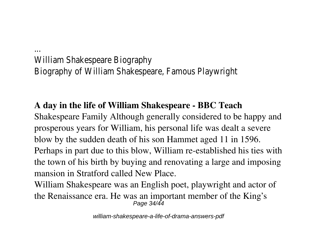William Shakespeare Biography of William Shakespeare,

...

### **A day in the life of William Shakespeare - BBC Teach**

Shakespeare Family Although generally considered to be happy and prosperous years for William, his personal life was dealt a severe blow by the sudden death of his son Hammet aged 11 in 1596. Perhaps in part due to this blow, William re-established his ties with the town of his birth by buying and renovating a large and imposing mansion in Stratford called New Place.

William Shakespeare was an English poet, playwright and actor of the Renaissance era. He was an important member of the King's Page 34/44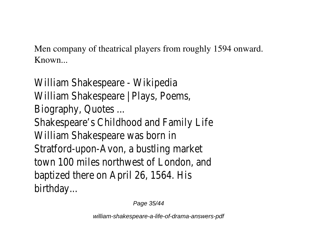Men company of theatrical players from roughly 1594 onward. Known...

William Shakespeare William Shakespeare | P Biography, Qu Shakespeare's Childhood and Family And Family And Family And Family And Family And Family And Family And Family A William Shakespeare Stratford-upon-Avon, a bu town 100 miles northwest baptized there on April 2 birthda

Page 35/44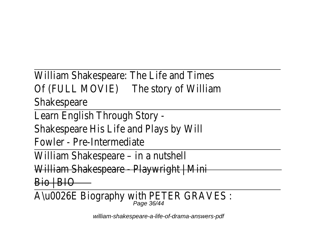William Shakespeare: The L Of (FULL MOVIE) The story of Shakespe Learn English Throu Shakespeare His Life and  $F$ owler - Pre-Intermediate William Shakespeare – William Shakespeare - Play  $\overline{\mathsf{Bio}}$ A\u0026E Biography with I Page 36/44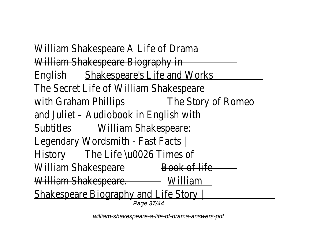William Shakespeare A L William Shakespeare B English Shakespeare's Life The Secret Life of William with Graham Phillips The Story of and Juliet - Audiobook in Subtitles William Shake Legendary Wordsmith -History The Life \u0026 William Shakespeare Book of William Shakespeare. Willia Shakespeare Biography and Shakespeare Biography Page 37/44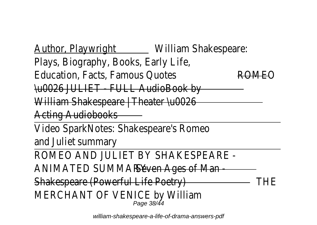Author, Playwright William Shake Plays, Biography, Book Education, Facts, Fam  $\overline{A}$ HOO26 JULIET - FULL William Shakespeare  $\parallel$  The **Acting Audio** Video SparkNotes: Shakesr and Juliet su ROMEO AND JULIET BY S ANIMATED SUMMARY Ages Shakespeare (Powerful Life Poetry) TH MERCHANT OF VENIC Page 38/44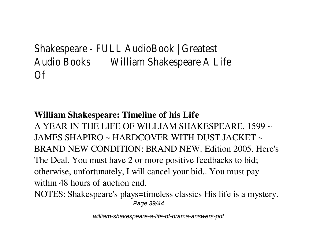Shakespeare - FULL AudioB Audio Books William Shakespear  $\bigcap$ 

#### **William Shakespeare: Timeline of his Life**

A YEAR IN THE LIFE OF WILLIAM SHAKESPEARE, 1599 ~ JAMES SHAPIRO ~ HARDCOVER WITH DUST JACKET ~ BRAND NEW CONDITION: BRAND NEW. Edition 2005. Here's The Deal. You must have 2 or more positive feedbacks to bid; otherwise, unfortunately, I will cancel your bid.. You must pay within 48 hours of auction end.

NOTES: Shakespeare's plays=timeless classics His life is a mystery. Page 39/44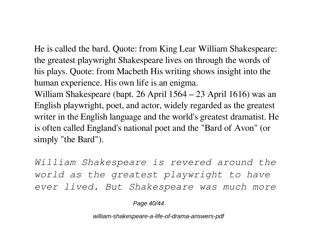He is called the bard. Quote: from King Lear William Shakespeare: the greatest playwright Shakespeare lives on through the words of his plays. Quote: from Macbeth His writing shows insight into the human experience. His own life is an enigma.

William Shakespeare (bapt. 26 April 1564 – 23 April 1616) was an English playwright, poet, and actor, widely regarded as the greatest writer in the English language and the world's greatest dramatist. He is often called England's national poet and the "Bard of Avon" (or simply "the Bard").

*William Shakespeare is revered around the world as the greatest playwright to have ever lived. But Shakespeare was much more*

Page 40/44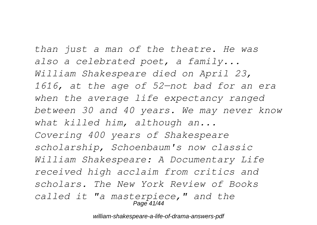*than just a man of the theatre. He was also a celebrated poet, a family... William Shakespeare died on April 23, 1616, at the age of 52—not bad for an era when the average life expectancy ranged between 30 and 40 years. We may never know what killed him, although an... Covering 400 years of Shakespeare scholarship, Schoenbaum's now classic William Shakespeare: A Documentary Life received high acclaim from critics and scholars. The New York Review of Books called it "a masterpiece," and the* Page 41/44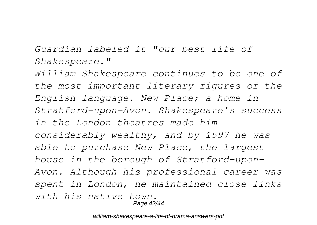*Guardian labeled it "our best life of Shakespeare."*

*William Shakespeare continues to be one of the most important literary figures of the English language. New Place; a home in Stratford-upon-Avon. Shakespeare's success in the London theatres made him considerably wealthy, and by 1597 he was able to purchase New Place, the largest house in the borough of Stratford-upon-Avon. Although his professional career was spent in London, he maintained close links with his native town.* Page 42/44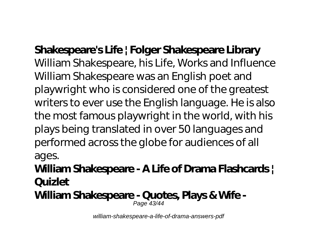**Shakespeare's Life | Folger Shakespeare Library** William Shakespeare, his Life, Works and Influence William Shakespeare was an English poet and playwright who is considered one of the greatest writers to ever use the English language. He is also the most famous playwright in the world, with his plays being translated in over 50 languages and performed across the globe for audiences of all ages.

**William Shakespeare - A Life of Drama Flashcards | Quizlet**

**William Shakespeare - Quotes, Plays & Wife -** Page 43/44